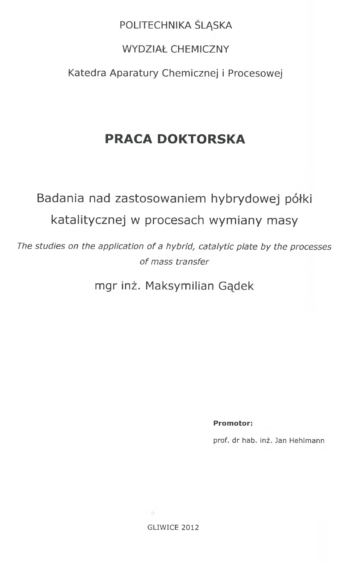## POLITECHNIKA ŚLĄSKA

### WYDZIAŁ CHEMICZNY

Katedra Aparatury Chemicznej i Procesowej

## **PRACA DOKTORSKA**

# Badania nad zastosowaniem hybrydowej półki katalitycznej w procesach wymiany masy

The studies on the application of a hybrid, catalytic plate by the processes of mass transfer

mgr inz. Maksymilian Gqdek

**Promotor:**

prof. dr hab. inz. Jan Hehlmann

Controller on